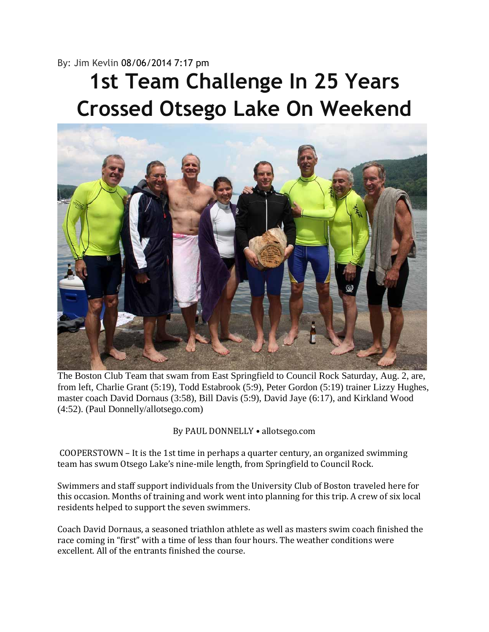## By: Jim Kevlin 08/06/2014 7:17 pm

## **1st Team Challenge In 25 Years Crossed Otsego Lake On Weekend**



The Boston Club Team that swam from East Springfield to Council Rock Saturday, Aug. 2, are, from left, Charlie Grant (5:19), Todd Estabrook (5:9), Peter Gordon (5:19) trainer Lizzy Hughes, master coach David Dornaus (3:58), Bill Davis (5:9), David Jaye (6:17), and Kirkland Wood (4:52). (Paul Donnelly/allotsego.com)

By PAUL DONNELLY • allotsego.com

COOPERSTOWN – It is the 1st time in perhaps a quarter century, an organized swimming team has swum Otsego Lake's nine-mile length, from Springfield to Council Rock.

Swimmers and staff support individuals from the University Club of Boston traveled here for this occasion. Months of training and work went into planning for this trip. A crew of six local residents helped to support the seven swimmers.

Coach David Dornaus, a seasoned triathlon athlete as well as masters swim coach finished the race coming in "first" with a time of less than four hours. The weather conditions were excellent. All of the entrants finished the course.